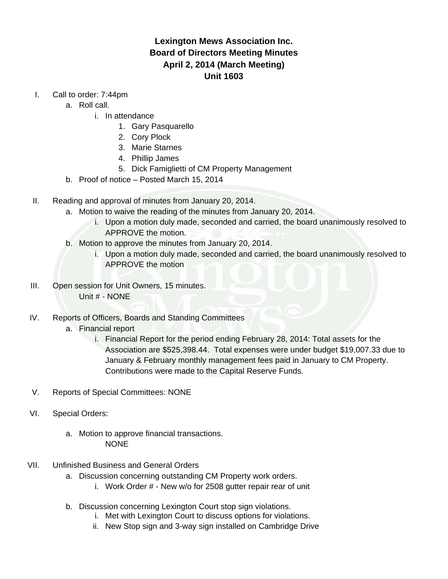## **Lexington Mews Association Inc. Board of Directors Meeting Minutes April 2, 2014 (March Meeting) Unit 1603**

- I. Call to order: 7:44pm
	- a. Roll call.
		- i. In attendance
			- 1. Gary Pasquarello
			- 2. Cory Plock
			- 3. Marie Starnes
			- 4. Phillip James
			- 5. Dick Famiglietti of CM Property Management
	- b. Proof of notice Posted March 15, 2014
- II. Reading and approval of minutes from January 20, 2014.
	- a. Motion to waive the reading of the minutes from January 20, 2014.
		- i. Upon a motion duly made, seconded and carried, the board unanimously resolved to APPROVE the motion.
	- b. Motion to approve the minutes from January 20, 2014.
		- i. Upon a motion duly made, seconded and carried, the board unanimously resolved to APPROVE the motion
- III. Open session for Unit Owners, 15 minutes. Unit # - NONE
- IV. Reports of Officers, Boards and Standing Committees
	- a. Financial report
		- i. Financial Report for the period ending February 28, 2014: Total assets for the Association are \$525,398.44. Total expenses were under budget \$19,007.33 due to January & February monthly management fees paid in January to CM Property. Contributions were made to the Capital Reserve Funds.
- V. Reports of Special Committees: NONE
- VI. Special Orders:
	- a. Motion to approve financial transactions. NONE
- VII. Unfinished Business and General Orders
	- a. Discussion concerning outstanding CM Property work orders.
		- i. Work Order # New w/o for 2508 gutter repair rear of unit
	- b. Discussion concerning Lexington Court stop sign violations.
		- i. Met with Lexington Court to discuss options for violations.
		- ii. New Stop sign and 3-way sign installed on Cambridge Drive